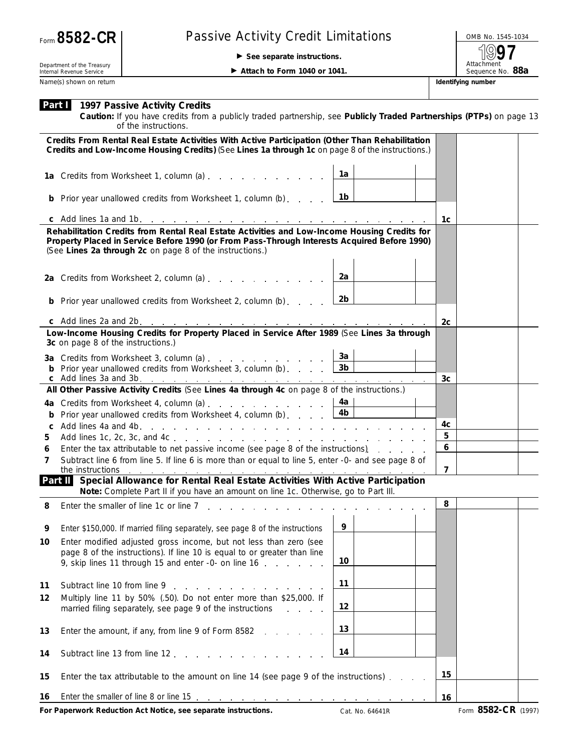| Form 8582-CR |  |
|--------------|--|
|--------------|--|

## Passive Activity Credit Limitations **Passive Activity Credit Limitations**

© **See separate instructions.**

Attachment<br>Sequence No. 88a **97**

Department of the Treasury Internal Revenue Service Name(s) shown on return **Identifying number Identifying number Identifying number** 

▶ Attach to Form 1040 or 1041.

|    | <b>Part   1997 Passive Activity Credits</b><br>Caution: If you have credits from a publicly traded partnership, see Publicly Traded Partnerships (PTPs) on page 13<br>of the instructions.                                                               |                 |                |                     |  |
|----|----------------------------------------------------------------------------------------------------------------------------------------------------------------------------------------------------------------------------------------------------------|-----------------|----------------|---------------------|--|
|    | Credits From Rental Real Estate Activities With Active Participation (Other Than Rehabilitation<br>Credits and Low-Income Housing Credits) (See Lines 1a through 1c on page 8 of the instructions.)                                                      |                 |                |                     |  |
|    | 1a Credits from Worksheet 1, column (a)                                                                                                                                                                                                                  | 1a              |                |                     |  |
|    | <b>b</b> Prior year unallowed credits from Worksheet 1, column (b)                                                                                                                                                                                       | 1b              |                |                     |  |
|    |                                                                                                                                                                                                                                                          |                 | 1c             |                     |  |
|    | Rehabilitation Credits from Rental Real Estate Activities and Low-Income Housing Credits for<br>Property Placed in Service Before 1990 (or From Pass-Through Interests Acquired Before 1990)<br>(See Lines 2a through 2c on page 8 of the instructions.) |                 |                |                     |  |
|    | 2a Credits from Worksheet 2, column (a)                                                                                                                                                                                                                  | 2a              |                |                     |  |
|    | <b>b</b> Prior year unallowed credits from Worksheet 2, column (b)                                                                                                                                                                                       | 2b              |                |                     |  |
|    |                                                                                                                                                                                                                                                          |                 | 2c             |                     |  |
|    | Low-Income Housing Credits for Property Placed in Service After 1989 (See Lines 3a through<br>3c on page 8 of the instructions.)                                                                                                                         |                 |                |                     |  |
|    | 3a Credits from Worksheet 3, column (a) $\ldots$ $\ldots$ $\ldots$ $\ldots$                                                                                                                                                                              | За              |                |                     |  |
|    |                                                                                                                                                                                                                                                          |                 | 3 <sub>c</sub> |                     |  |
|    | All Other Passive Activity Credits (See Lines 4a through 4c on page 8 of the instructions.)                                                                                                                                                              |                 |                |                     |  |
|    | 4a Credits from Worksheet 4, column (a)                                                                                                                                                                                                                  | 4a ∣            |                |                     |  |
|    | Prior year unallowed credits from Worksheet 4, column (b) $\ldots$ $\boxed{4b}$                                                                                                                                                                          |                 |                |                     |  |
| C  |                                                                                                                                                                                                                                                          |                 | 4c             |                     |  |
| 5  |                                                                                                                                                                                                                                                          |                 | 5              |                     |  |
| 6  | Enter the tax attributable to net passive income (see page 8 of the instructions).                                                                                                                                                                       |                 | 6              |                     |  |
| 7  | Subtract line 6 from line 5. If line 6 is more than or equal to line 5, enter -0- and see page 8 of<br>the instructions<br>and the contract of the contract of the contract of the contract of the contract of the contract of                           |                 | $\overline{7}$ |                     |  |
|    | Part II Special Allowance for Rental Real Estate Activities With Active Participation<br>Note: Complete Part II if you have an amount on line 1c. Otherwise, go to Part III.                                                                             |                 |                |                     |  |
| 8  | Enter the smaller of line 1c or line 7                                                                                                                                                                                                                   |                 | 8              |                     |  |
| У  | Enter \$150,000. If married filing separately, see page 8 of the instructions                                                                                                                                                                            | 9               |                |                     |  |
| 10 | Enter modified adjusted gross income, but not less than zero (see<br>page 8 of the instructions). If line 10 is equal to or greater than line<br>9, skip lines 11 through 15 and enter -0- on line 16 [16] [16] Asset Array has a meta-                  | 10              |                |                     |  |
| 11 | Subtract line 10 from line 9 and 1 and 1 and 1 and 1 and 1 and 1 and 1 and 1 and 1 and 1 and 1 and 1 and 1 and 1 and 1 and 1 and 1 and 1 and 1 and 1 and 1 and 1 and 1 and 1 and 1 and 1 and 1 and 1 and 1 and 1 and 1 and 1 a                           | 11              |                |                     |  |
| 12 | Multiply line 11 by 50% (.50). Do not enter more than \$25,000. If<br>married filing separately, see page 9 of the instructions<br><b>Contract Contract</b>                                                                                              | 12              |                |                     |  |
| 13 | Enter the amount, if any, from line 9 of Form 8582                                                                                                                                                                                                       | 13              |                |                     |  |
| 14 | Subtract line 13 from line 12 [10] North American Subtract line 13 from line 12                                                                                                                                                                          | 14              |                |                     |  |
| 15 | Enter the tax attributable to the amount on line 14 (see page 9 of the instructions).                                                                                                                                                                    |                 |                |                     |  |
| 16 | Enter the smaller of line 8 or line 15 $\ldots$ $\ldots$ $\ldots$ $\ldots$ $\ldots$ $\ldots$ $\ldots$ $\ldots$                                                                                                                                           |                 | 16             |                     |  |
|    | For Paperwork Reduction Act Notice, see separate instructions.                                                                                                                                                                                           | Cat. No. 64641R |                | Form 8582-CR (1997) |  |